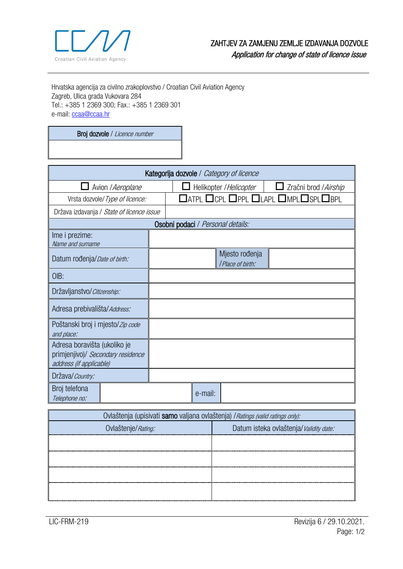

Hrvatska agencija za civilno zrakoplovstvo / Croatian Civil Aviation Agency Zagreb, Ulica grada Vukovara 284 Tel.: +385 1 2369 300; Fax.: +385 1 2369 301 e-mail: [ccaa@ccaa.hr](file://dfs2/sluzbeni_podaci/2_DOKUMENTACIJA/Biblioteka/Manuals%20and%20Procedures/Priru%C4%8Dnik%20Odjela%20licenciranja/04%20Part%20IV%20Obrasci%20-%20WORD/ccaa@ccaa.hr)

Broj dozvole / Licence number

| Kategorija dozvole / Category of licence                                                     |  |                                                                                      |  |         |                                     |                       |
|----------------------------------------------------------------------------------------------|--|--------------------------------------------------------------------------------------|--|---------|-------------------------------------|-----------------------|
| Avion / Aeroplane                                                                            |  |                                                                                      |  |         | Helikopter / Helicopter             | Zračni brod / Airship |
| Vrsta dozvole/ Type of licence:                                                              |  | $\overline{\phantom{a}}$ Atpl $\Box$ cpl $\Box$ ppl $\Box$ mpl $\Box$ spl $\Box$ bpl |  |         |                                     |                       |
| Država izdavanja / State of licence issue                                                    |  |                                                                                      |  |         |                                     |                       |
| Osobni podaci / Personal details:                                                            |  |                                                                                      |  |         |                                     |                       |
| Ime i prezime:<br>Name and surname                                                           |  |                                                                                      |  |         |                                     |                       |
| Datum rođenja/Date of birth:                                                                 |  |                                                                                      |  |         | Mjesto rođenja<br>  Place of birth: |                       |
| OIB:                                                                                         |  |                                                                                      |  |         |                                     |                       |
| Državljanstvo/ Citizenship:                                                                  |  |                                                                                      |  |         |                                     |                       |
| Adresa prebivališta/ Address:                                                                |  |                                                                                      |  |         |                                     |                       |
| Poštanski broj i mjesto/Zip code<br>and place:                                               |  |                                                                                      |  |         |                                     |                       |
| Adresa boravišta (ukoliko je<br>primjenjivo)/ Secondary residence<br>address (if applicable) |  |                                                                                      |  |         |                                     |                       |
| Država/ Country:                                                                             |  |                                                                                      |  |         |                                     |                       |
| Broj telefona<br>Telephone no:                                                               |  |                                                                                      |  | e-mail: |                                     |                       |

| Ovlaštenja (upisivati samo valjana ovlaštenja) / Ratings (valid ratings only): |                                         |  |  |  |  |
|--------------------------------------------------------------------------------|-----------------------------------------|--|--|--|--|
| Ovlaštenje/Rating:                                                             | Datum isteka ovlaštenja/ Validity date: |  |  |  |  |
|                                                                                |                                         |  |  |  |  |
|                                                                                |                                         |  |  |  |  |
|                                                                                |                                         |  |  |  |  |
|                                                                                |                                         |  |  |  |  |